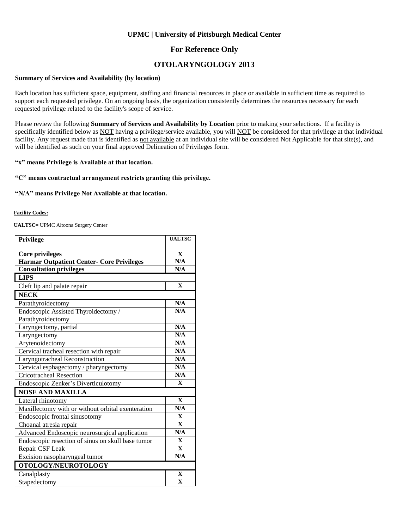### **UPMC | University of Pittsburgh Medical Center**

### **For Reference Only**

## **OTOLARYNGOLOGY 2013**

#### **Summary of Services and Availability (by location)**

Each location has sufficient space, equipment, staffing and financial resources in place or available in sufficient time as required to support each requested privilege. On an ongoing basis, the organization consistently determines the resources necessary for each requested privilege related to the facility's scope of service.

Please review the following **Summary of Services and Availability by Location** prior to making your selections. If a facility is specifically identified below as NOT having a privilege/service available, you will NOT be considered for that privilege at that individual facility. Any request made that is identified as not available at an individual site will be considered Not Applicable for that site(s), and will be identified as such on your final approved Delineation of Privileges form.

#### **"x" means Privilege is Available at that location.**

#### **"C" means contractual arrangement restricts granting this privilege.**

#### **"N/A" means Privilege Not Available at that location.**

#### **Facility Codes:**

**UALTSC**= UPMC Altoona Surgery Center

| Privilege                                         | <b>UALTSC</b> |
|---------------------------------------------------|---------------|
|                                                   |               |
| <b>Core privileges</b>                            | $\mathbf{X}$  |
| <b>Harmar Outpatient Center- Core Privileges</b>  | N/A           |
| <b>Consultation privileges</b>                    | N/A           |
| <b>LIPS</b>                                       |               |
| Cleft lip and palate repair                       | $\mathbf{X}$  |
| <b>NECK</b>                                       |               |
| Parathyroidectomy                                 | N/A           |
| Endoscopic Assisted Thyroidectomy /               | N/A           |
| Parathyroidectomy                                 |               |
| Laryngectomy, partial                             | N/A           |
| Laryngectomy                                      | N/A           |
| Arytenoidectomy                                   | N/A           |
| Cervical tracheal resection with repair           | N/A           |
| Laryngotracheal Reconstruction                    | N/A           |
| Cervical esphagectomy / pharyngectomy             | N/A           |
| <b>Cricotracheal Resection</b>                    | N/A           |
| Endoscopic Zenker's Diverticulotomy               | $\mathbf{X}$  |
| <b>NOSE AND MAXILLA</b>                           |               |
| Lateral rhinotomy                                 | $\mathbf{x}$  |
| Maxillectomy with or without orbital exenteration | N/A           |
| Endoscopic frontal sinusotomy                     | $\mathbf{X}$  |
| Choanal atresia repair                            | $\mathbf{X}$  |
| Advanced Endoscopic neurosurgical application     | N/A           |
| Endoscopic resection of sinus on skull base tumor | $\mathbf{X}$  |
| Repair CSF Leak                                   | $\mathbf{X}$  |
| Excision nasopharyngeal tumor                     | N/A           |
| OTOLOGY/NEUROTOLOGY                               |               |
| Canalplasty                                       | $\mathbf{X}$  |
| Stapedectomy                                      | $\mathbf{X}$  |